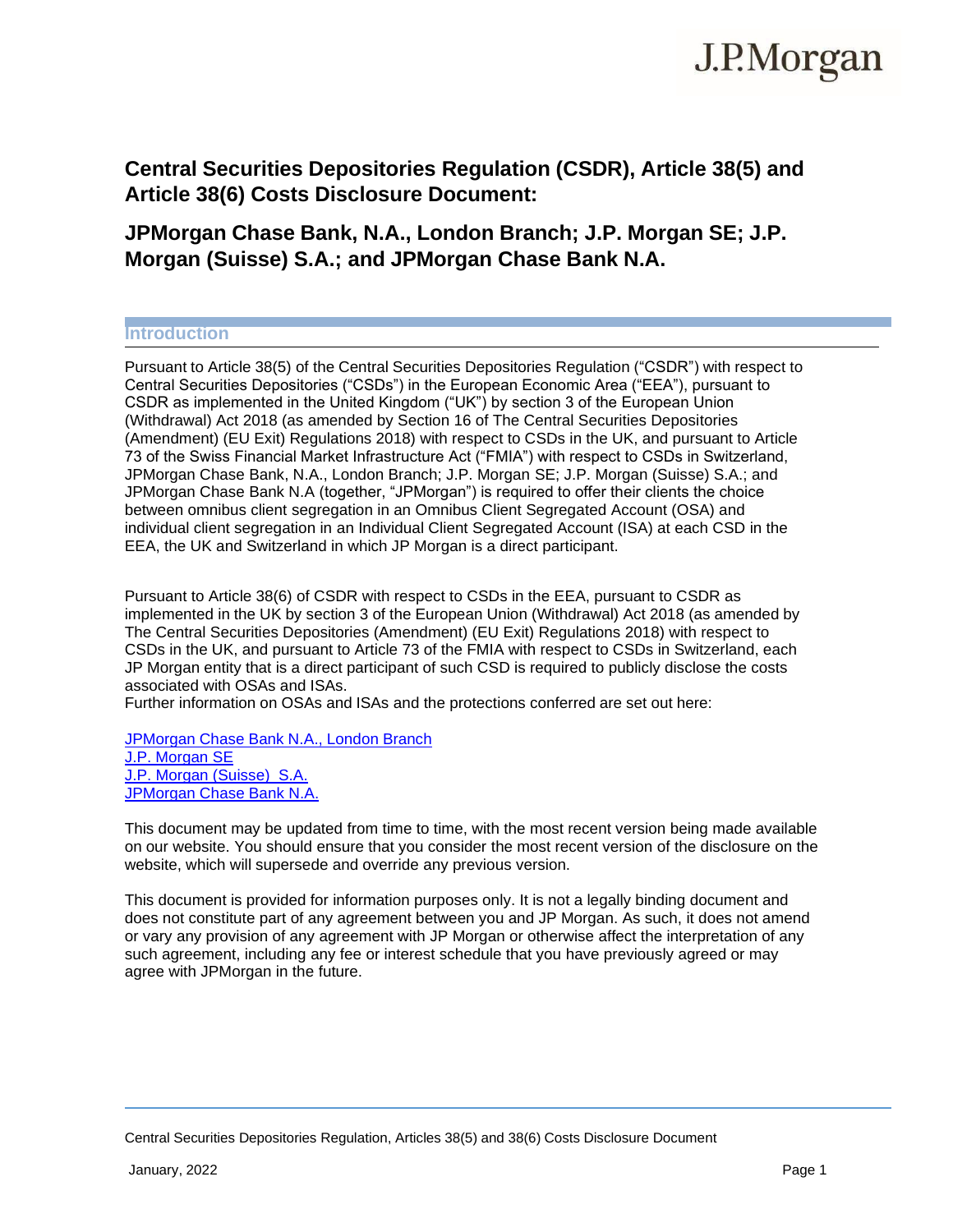# J.P.Morgan

# **Central Securities Depositories Regulation (CSDR), Article 38(5) and Article 38(6) Costs Disclosure Document:**

# **JPMorgan Chase Bank, N.A., London Branch; J.P. Morgan SE; J.P. Morgan (Suisse) S.A.; and JPMorgan Chase Bank N.A.**

# **Introduction**

Pursuant to Article 38(5) of the Central Securities Depositories Regulation ("CSDR") with respect to Central Securities Depositories ("CSDs") in the European Economic Area ("EEA"), pursuant to CSDR as implemented in the United Kingdom ("UK") by section 3 of the European Union (Withdrawal) Act 2018 (as amended by Section 16 of The Central Securities Depositories (Amendment) (EU Exit) Regulations 2018) with respect to CSDs in the UK, and pursuant to Article 73 of the Swiss Financial Market Infrastructure Act ("FMIA") with respect to CSDs in Switzerland, JPMorgan Chase Bank, N.A., London Branch; J.P. Morgan SE; J.P. Morgan (Suisse) S.A.; and JPMorgan Chase Bank N.A (together, "JPMorgan") is required to offer their clients the choice between omnibus client segregation in an Omnibus Client Segregated Account (OSA) and individual client segregation in an Individual Client Segregated Account (ISA) at each CSD in the EEA, the UK and Switzerland in which JP Morgan is a direct participant.

Pursuant to Article 38(6) of CSDR with respect to CSDs in the EEA, pursuant to CSDR as implemented in the UK by section 3 of the European Union (Withdrawal) Act 2018 (as amended by The Central Securities Depositories (Amendment) (EU Exit) Regulations 2018) with respect to CSDs in the UK, and pursuant to Article 73 of the FMIA with respect to CSDs in Switzerland, each JP Morgan entity that is a direct participant of such CSD is required to publicly disclose the costs associated with OSAs and ISAs.

Further information on OSAs and ISAs and the protections conferred are set out here:

[JPMorgan](https://www.jpmorgan.com/content/dam/jpm/global/disclosures/by-regulation/csdr-article-38-6-disclosure-jpmc-london.pdf) Chase Bank N.A., London Branch J.P. [Morgan SE](https://www.jpmorgan.com/content/dam/jpm/global/disclosures/by-regulation/csdr-article-38-6-disclosure-jpm-se.pdf) [J.P. Morgan \(Suisse\)](https://www.jpmorgan.com/content/dam/jpm/global/disclosures/by-regulation/csdr-article-38-6-disclosure-jpm-suisse.pdf) S.A. [JPMorgan](https://www.jpmorgan.com/content/dam/jpm/global/disclosures/by-regulation/csdr-article-38-6-disclosure-jpmc-na.pdf) Chase Bank N.A.

This document may be updated from time to time, with the most recent version being made available on our website. You should ensure that you consider the most recent version of the disclosure on the website, which will supersede and override any previous version.

This document is provided for information purposes only. It is not a legally binding document and does not constitute part of any agreement between you and JP Morgan. As such, it does not amend or vary any provision of any agreement with JP Morgan or otherwise affect the interpretation of any such agreement, including any fee or interest schedule that you have previously agreed or may agree with JPMorgan in the future.

Central Securities Depositories Regulation, Articles 38(5) and 38(6) Costs Disclosure Document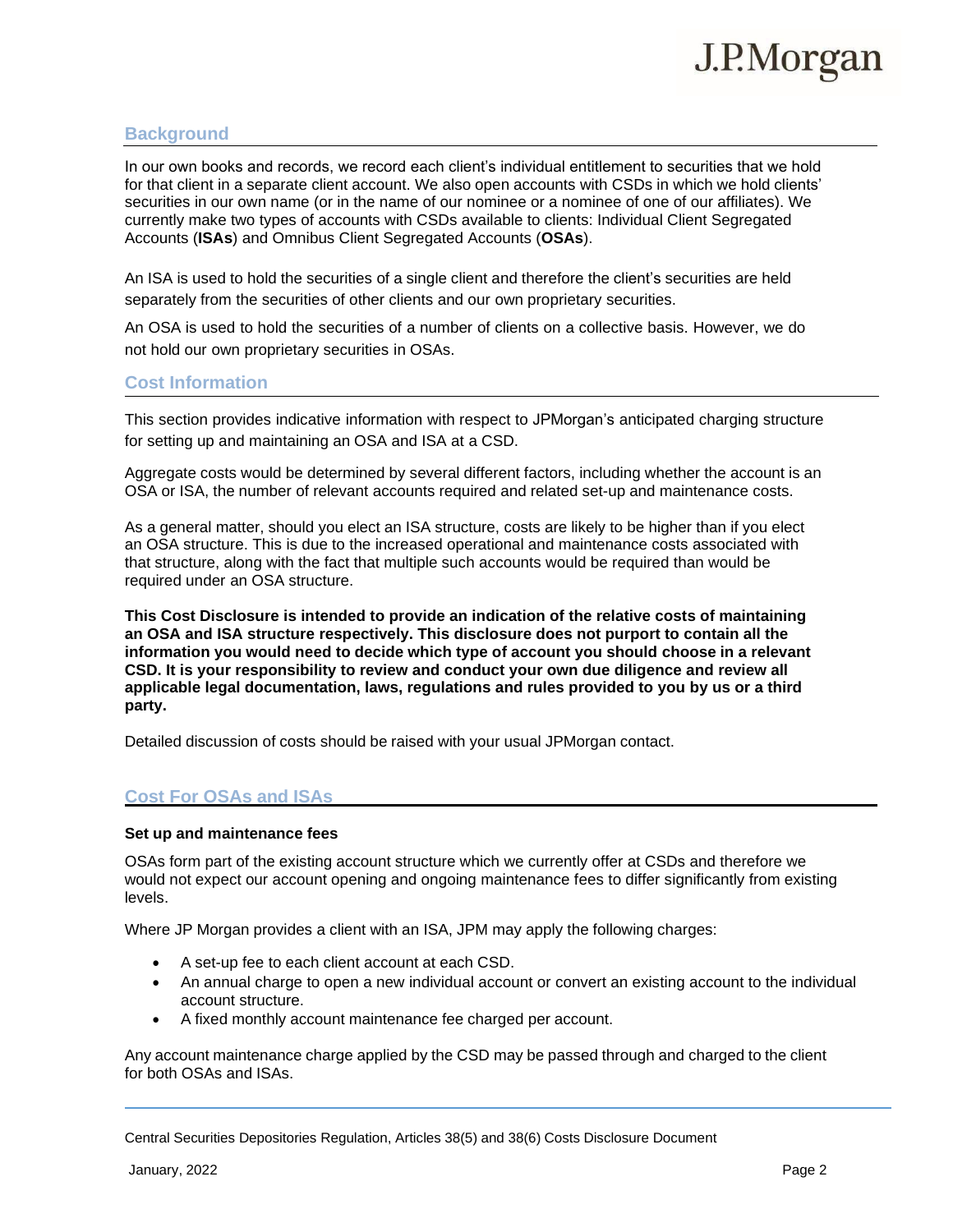

# **Background**

In our own books and records, we record each client's individual entitlement to securities that we hold for that client in a separate client account. We also open accounts with CSDs in which we hold clients' securities in our own name (or in the name of our nominee or a nominee of one of our affiliates). We currently make two types of accounts with CSDs available to clients: Individual Client Segregated Accounts (**ISAs**) and Omnibus Client Segregated Accounts (**OSAs**).

An ISA is used to hold the securities of a single client and therefore the client's securities are held separately from the securities of other clients and our own proprietary securities.

An OSA is used to hold the securities of a number of clients on a collective basis. However, we do not hold our own proprietary securities in OSAs.

# **Cost Information**

This section provides indicative information with respect to JPMorgan's anticipated charging structure for setting up and maintaining an OSA and ISA at a CSD.

Aggregate costs would be determined by several different factors, including whether the account is an OSA or ISA, the number of relevant accounts required and related set-up and maintenance costs.

As a general matter, should you elect an ISA structure, costs are likely to be higher than if you elect an OSA structure. This is due to the increased operational and maintenance costs associated with that structure, along with the fact that multiple such accounts would be required than would be required under an OSA structure.

**This Cost Disclosure is intended to provide an indication of the relative costs of maintaining an OSA and ISA structure respectively. This disclosure does not purport to contain all the information you would need to decide which type of account you should choose in a relevant CSD. It is your responsibility to review and conduct your own due diligence and review all applicable legal documentation, laws, regulations and rules provided to you by us or a third party.**

Detailed discussion of costs should be raised with your usual JPMorgan contact.

# **Cost For OSAs and ISAs**

#### **Set up and maintenance fees**

OSAs form part of the existing account structure which we currently offer at CSDs and therefore we would not expect our account opening and ongoing maintenance fees to differ significantly from existing levels.

Where JP Morgan provides a client with an ISA, JPM may apply the following charges:

- A set-up fee to each client account at each CSD.
- An annual charge to open a new individual account or convert an existing account to the individual account structure.
- A fixed monthly account maintenance fee charged per account.

Any account maintenance charge applied by the CSD may be passed through and charged to the client for both OSAs and ISAs.

Central Securities Depositories Regulation, Articles 38(5) and 38(6) Costs Disclosure Document